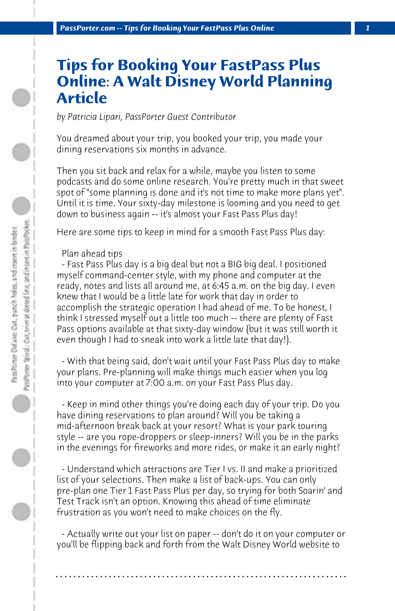## **Tips for Booking Your FastPass Plus Online: A Walt Disney World Planning Article**

*by Patricia Lipari, PassPorter Guest Contributor*

You dreamed about your trip, you booked your trip, you made your dining reservations six months in advance.

Then you sit back and relax for a while, maybe you listen to some podcasts and do some online research. You're pretty much in that sweet spot of "some planning is done and it's not time to make more plans yet". Until it is time. Your sixty-day milestone is looming and you need to get down to business again -- it's almost your Fast Pass Plus day!

Here are some tips to keep in mind for a smooth Fast Pass Plus day:

## Plan ahead tips

 - Fast Pass Plus day is a big deal but not a BIG big deal. I positioned myself command-center style, with my phone and computer at the ready, notes and lists all around me, at 6:45 a.m. on the big day. I even knew that I would be a little late for work that day in order to accomplish the strategic operation I had ahead of me. To be honest, I think I stressed myself out a little too much -- there are plenty of Fast Pass options available at that sixty-day window (but it was still worth it even though I had to sneak into work a little late that day!).

 - With that being said, don't wait until your Fast Pass Plus day to make your plans. Pre-planning will make things much easier when you log into your computer at 7:00 a.m. on your Fast Pass Plus day.

 - Keep in mind other things you're doing each day of your trip. Do you have dining reservations to plan around? Will you be taking a mid-afternoon break back at your resort? What is your park touring style -- are you rope-droppers or sleep-inners? Will you be in the parks in the evenings for fireworks and more rides, or make it an early night?

 - Understand which attractions are Tier I vs. II and make a prioritized list of your selections. Then make a list of back-ups. You can only pre-plan one Tier 1 Fast Pass Plus per day, so trying for both Soarin' and Test Track isn't an option. Knowing this ahead of time eliminate frustration as you won't need to make choices on the fly.

 - Actually write out your list on paper -- don't do it on your computer or you'll be flipping back and forth from the Walt Disney World website to

**. . . . . . . . . . . . . . . . . . . . . . . . . . . . . . . . . . . . . . . . . . . . . . . . . . . . . . . . . . . . . . . . . .**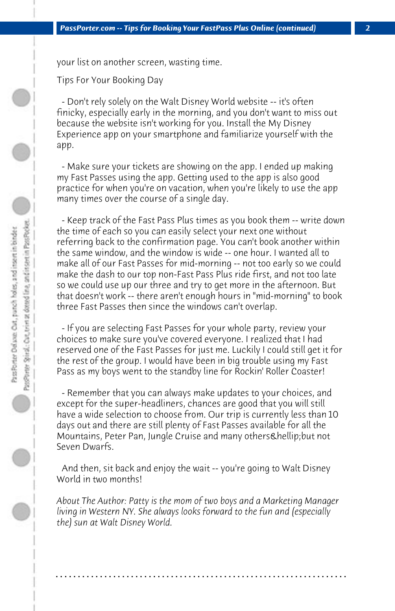your list on another screen, wasting time.

Tips For Your Booking Day

 - Don't rely solely on the Walt Disney World website -- it's often finicky, especially early in the morning, and you don't want to miss out because the website isn't working for you. Install the My Disney Experience app on your smartphone and familiarize yourself with the app.

 - Make sure your tickets are showing on the app. I ended up making my Fast Passes using the app. Getting used to the app is also good practice for when you're on vacation, when you're likely to use the app many times over the course of a single day.

 - Keep track of the Fast Pass Plus times as you book them -- write down the time of each so you can easily select your next one without referring back to the confirmation page. You can't book another within the same window, and the window is wide -- one hour. I wanted all to make all of our Fast Passes for mid-morning -- not too early so we could make the dash to our top non-Fast Pass Plus ride first, and not too late so we could use up our three and try to get more in the afternoon. But that doesn't work -- there aren't enough hours in "mid-morning" to book three Fast Passes then since the windows can't overlap.

 - If you are selecting Fast Passes for your whole party, review your choices to make sure you've covered everyone. I realized that I had reserved one of the Fast Passes for just me. Luckily I could still get it for the rest of the group. I would have been in big trouble using my Fast Pass as my boys went to the standby line for Rockin' Roller Coaster!

 - Remember that you can always make updates to your choices, and except for the super-headliners, chances are good that you will still have a wide selection to choose from. Our trip is currently less than 10 days out and there are still plenty of Fast Passes available for all the Mountains, Peter Pan, Jungle Cruise and many others & hellip; but not Seven Dwarfs.

 And then, sit back and enjoy the wait -- you're going to Walt Disney World in two months!

*About The Author: Patty is the mom of two boys and a Marketing Manager living in Western NY. She always looks forward to the fun and (especially the) sun at Walt Disney World.*

**. . . . . . . . . . . . . . . . . . . . . . . . . . . . . . . . . . . . . . . . . . . . . . . . . . . . . . . . . . . . . . . . . .**